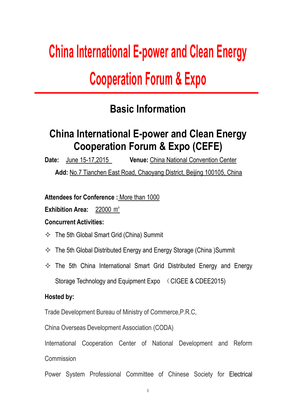# **China International E-power and Clean Energy Cooperation Forum & Expo**

## **Basic Information**

## **China International E-power and Clean Energy Cooperation Forum & Expo (CEFE)**

**Date:** June 15-17,2015 **Venue:** China National Convention Center

**Add:** No.7 Tianchen East Road, Chaoyang District, Beijing 100105, China

**Attendees for Conference :** More than 1000

**Exhibition Area:** 22000 ㎡

#### **Concurrent Activities:**

- $\Diamond$  The 5th Global Smart Grid (China) Summit
- $\Diamond$  The 5th Global Distributed Energy and Energy Storage (China) Summit
- $\Diamond$  The 5th China International Smart Grid Distributed Energy and Energy

Storage Technology and Equipment Expo (CIGEE & CDEE2015)

#### **Hosted by:**

Trade Development Bureau of Ministry of Commerce,P.R.C,

China Overseas Development Association (CODA)

International Cooperation Center of National Development and Reform Commission

Power System Professional Committee of Chinese Society for Electrical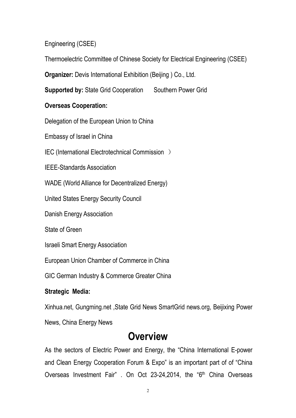Engineering (CSEE)

Thermoelectric Committee of Chinese Society for Electrical Engineering (CSEE)

**Organizer:** Devis International Exhibition (Beijing ) Co., Ltd.

**Supported by: State Grid Cooperation Southern Power Grid** 

#### **Overseas Cooperation:**

Delegation of the European Union to China

Embassy of Israel in China

IEC (International Electrotechnical Commission )

IEEE-Standards Association

WADE (World Alliance for Decentralized Energy)

United States Energy Security Council

Danish Energy Association

State of Green

Israeli Smart Energy Association

European Union Chamber of Commerce in China

GIC German Industry & Commerce Greater China

#### **Strategic Media:**

Xinhua.net, Gungming.net ,State Grid News SmartGrid news.org, Beijixing Power

News, China Energy News

## **Overview**

As the sectors of Electric Power and Energy, the "China International E-power and Clean Energy Cooperation Forum & Expo" is an important part of of "China" Overseas Investment Fair". On Oct 23-24,2014, the "6<sup>th</sup> China Overseas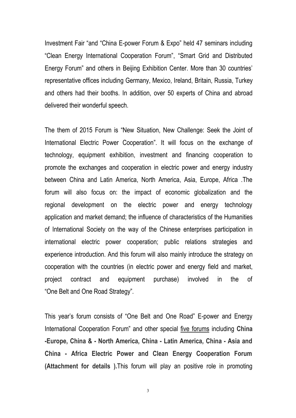Investment Fair "and "China E-power Forum & Expo" held 47 seminars including "Clean Energy International Cooperation Forum", "Smart Grid and Distributed Energy Forum" and others in Beijing Exhibition Center. More than 30 countries' representative offices including Germany, Mexico, Ireland, Britain, Russia, Turkey and others had their booths. In addition, over 50 experts of China and abroad delivered their wonderful speech.

The them of 2015 Forum is "New Situation, New Challenge: Seek the Joint of International Electric Power Cooperation". It will focus on the exchange of technology, equipment exhibition, investment and financing cooperation to promote the exchanges and cooperation in electric power and energy industry between China and Latin America, North America, Asia, Europe, Africa .The forum will also focus on: the impact of economic globalization and the regional development on the electric power and energy technology application and market demand; the influence of characteristics of the Humanities of International Society on the way of the Chinese enterprises participation in international electric power cooperation; public relations strategies and experience introduction. And this forum will also mainly introduce the strategy on cooperation with the countries (in electric powerand energy field and market, project contract and equipment purchase) involved in the of "One Belt and One Road Strategy".

This year's forum consists of "One Belt and One Road" E-power and Energy International Cooperation Forum" and other special five forums including **China -Europe, China & - North America, China - Latin America, China - Asia and China - Africa Electric Power and Clean Energy Cooperation Forum (Attachment for details ).**This forum will play an positive role in promoting

3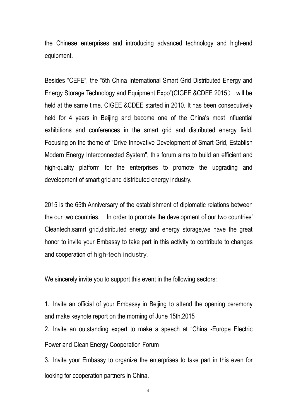the Chinese enterprises and introducing advanced technology and high-end equipment.

Besides "CEFE", the "5th China International Smart Grid Distributed Energy and Energy Storage Technology and Equipment Expo"(CIGEE &CDEE 2015) will be held at the same time. CIGEE &CDEE started in 2010. It has been consecutively held for 4 years in Beijing and become one of the China's most influential exhibitions and conferences in the smart grid and distributed energy field. Focusing on the theme of "Drive Innovative Development of Smart Grid, Establish Modern Energy Interconnected System", this forum aims to build an efficient and high-quality platform for the enterprises to promote the upgrading and development of smart grid and distributed energy industry.

2015 is the 65th Anniversary of the establishment of diplomatic relations between the our two countries. In order to promote the development of our two countries' Cleantech,samrt grid,distributed energy and energy storage,we have the great honor to invite your Embassy to take part in this activity to contribute to changes and cooperation of high-tech industry.

We sincerely invite you to support this event in the following sectors:

1. Invite an official of your Embassy in Beijing to attend the opening ceremony and make keynote report on the morning of June 15th,2015

2. Invite an outstanding expert to make a speech at "China -Europe Electric Power and Clean Energy Cooperation Forum

3. Invite your Embassy to organize the enterprises to take part in this even for looking for cooperation partners in China.

4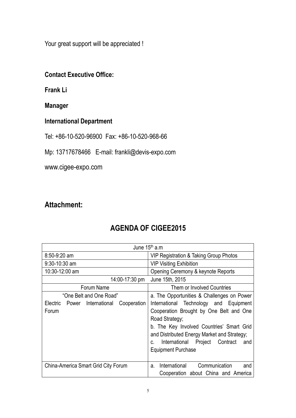Your great support will be appreciated !

#### **Contact Executive Office:**

**Frank Li**

**Manager**

#### **International Department**

Tel: +86-10-520-96900 Fax: +86-10-520-968-66

Mp: 13717678466 E-mail: frankli@devis-expo.com

www.cigee-expo.com

#### **Attachment:**

### **AGENDA OF CIGEE2015**

|                                                | June 15 <sup>th</sup> a.m                   |
|------------------------------------------------|---------------------------------------------|
| 8:50-9:20 am                                   | VIP Registration & Taking Group Photos      |
| $9:30-10:30$ am                                | <b>VIP Visiting Exhibition</b>              |
| 10:30-12:00 am                                 | Opening Ceremony & keynote Reports          |
| 14:00-17:30 pm                                 | June 15th, 2015                             |
| Forum Name                                     | Them or Involved Countries                  |
| "One Belt and One Road"                        | a. The Opportunities & Challenges on Power  |
| Cooperation<br>Electric Power<br>International | International Technology and Equipment      |
| Forum                                          | Cooperation Brought by One Belt and One     |
|                                                | Road Strategy;                              |
|                                                | b. The Key Involved Countries' Smart Grid   |
|                                                | and Distributed Energy Market and Strategy; |
|                                                | International Project Contract<br>and<br>C. |
|                                                | <b>Equipment Purchase</b>                   |
|                                                |                                             |
| China-America Smart Grid City Forum            | International<br>Communication<br>and<br>a. |
|                                                | Cooperation about China and America         |